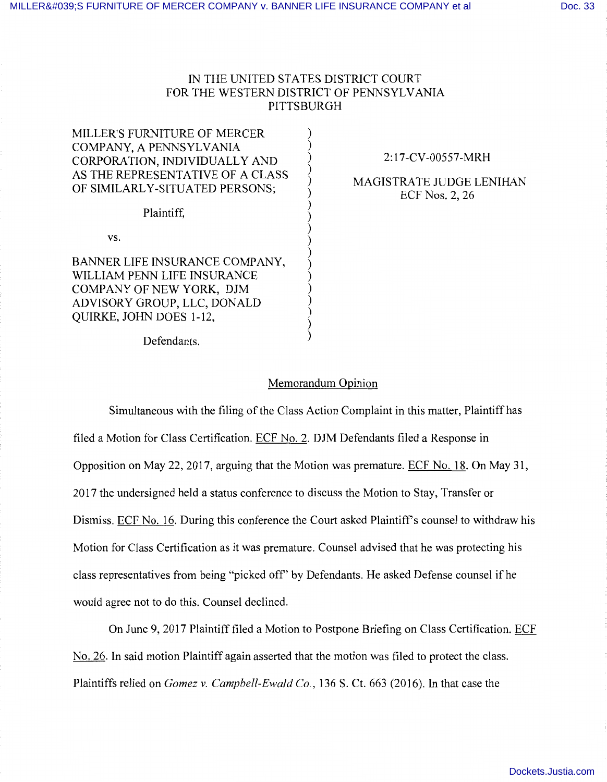## IN THE UNITED STATES DISTRICT COURT FOR THE WESTERN DISTRICT OF PENNSYLVANIA PITTSBURGH

) ) ) ) ) ) ) ) ) ) ) ) ) ) ) ) ) )

MILLER'S FURNITURE OF MERCER COMPANY, A PENNSYLVANIA CORPORATION, INDIVIDUALLY AND AS THE REPRESENTATIVE OF A CLASS OF SIMILARLY-SITUATED PERSONS;

Plaintiff,

vs.

BANNER LIFE INSURANCE COMPANY, WILLIAM PENN LIFE INSURANCE COMPANY OF NEW YORK, DJM ADVISORY GROUP, LLC, DONALD QUIRKE, JOHN DOES 1-12,

Defendants.

## 2:17-CV-00557-MRH

MAGISTRATE JUDGE LENIHAN ECF Nos. 2, 26

## Memorandum Opinion

Simultaneous with the filing of the Class Action Complaint in this matter, Plaintiff has filed a Motion for Class Certification. ECF No. 2. DJM Defendants filed a Response in Opposition on May 22, 2017, arguing that the Motion was premature. ECF No. 18. On May 31, 2017 the undersigned held a status conference to discuss the Motion to Stay, Transfer or Dismiss. ECF No. 16. During this conference the Court asked Plaintiff's counsel to withdraw his Motion for Class Certification as it was premature. Counsel advised that he was protecting his class representatives from being "picked off' by Defendants. He asked Defense counsel if he would agree not to do this. Counsel declined.

On June 9, 2017 Plaintiff filed a Motion to Postpone Briefing on Class Certification. ECF No. 26. In said motion Plaintiff again asserted that the motion was filed to protect the class. Plaintiffs relied on *Gomez v. Campbell-Ewald Co.,* 136 S. Ct. 663 (2016). In that case the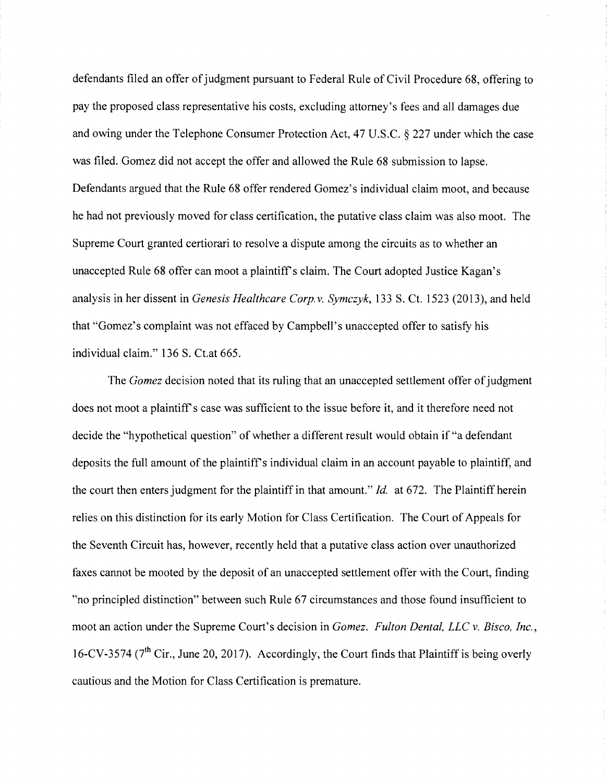defendants filed an offer of judgment pursuant to Federal Rule of Civil Procedure 68, offering to pay the proposed class representative his costs, excluding attorney's fees and all damages due and owing under the Telephone Consumer Protection Act, 47 U.S.C. § 227 under which the case was filed. Gomez did not accept the offer and allowed the Rule 68 submission to lapse. Defendants argued that the Rule 68 offer rendered Gomez's individual claim moot, and because he had not previously moved for class certification, the putative class claim was also moot. The Supreme Court granted certiorari to resolve a dispute among the circuits as to whether an unaccepted Rule 68 offer can moot a plaintiff's claim. The Court adopted Justice Kagan's analysis in her dissent in *Genesis Healthcare Corp. v. Symczyk,* 133 S. Ct. 1523 (2013), and held that "Gomez's complaint was not effaced by Campbell's unaccepted offer to satisfy his individual claim." 136 S. Ct.at 665.

The *Gomez* decision noted that its ruling that an unaccepted settlement offer of judgment does not moot a plaintiff's case was sufficient to the issue before it, and it therefore need not decide the "hypothetical question" of whether a different result would obtain if "a defendant deposits the full amount of the plaintiff's individual claim in an account payable to plaintiff, and the court then enters judgment for the plaintiff in that amount." *Id.* at 672. The Plaintiff herein relies on this distinction for its early Motion for Class Certification. The Court of Appeals for the Seventh Circuit has, however, recently held that a putative class action over unauthorized faxes cannot be mooted by the deposit of an unaccepted settlement offer with the Court, finding "no principled distinction" between such Rule 67 circumstances and those found insufficient to moot an action under the Supreme Court's decision in *Gomez. Fulton Dental, LLC v. Bisco, Inc.,*  16-CV-3574 ( $7<sup>th</sup>$  Cir., June 20, 2017). Accordingly, the Court finds that Plaintiff is being overly cautious and the Motion for Class Certification is premature.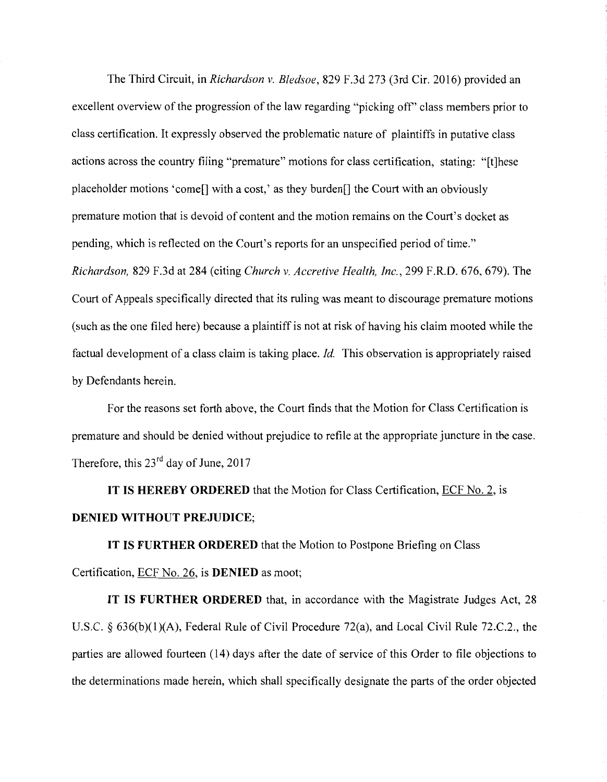The Third Circuit, in *Richardson v. Bledsoe,* 829 F.3d 273 (3rd Cir. 2016) provided an excellent overview of the progression of the law regarding "picking off' class members prior to class certification. It expressly observed the problematic nature of plaintiffs in putative class actions across the country filing "premature" motions for class certification, stating: "[t]hese placeholder motions 'come[] with a cost,' as they burden[] the Court with an obviously premature motion that is devoid of content and the motion remains on the Court's docket as pending, which is reflected on the Court's reports for an unspecified period of time." *Richardson,* 829 F.3d at 284 (citing *Church v. Accretive Health, Inc.,* 299 F.R.D. 676, 679). The Court of Appeals specifically directed that its ruling was meant to discourage premature motions (such as the one filed here) because a plaintiff is not at risk of having his claim mooted while the factual development of a class claim is taking place. *Id.* This observation is appropriately raised

by Defendants herein.

For the reasons set forth above, the Court finds that the Motion for Class Certification is premature and should be denied without prejudice to refile at the appropriate juncture in the case. Therefore, this 23<sup>rd</sup> day of June, 2017

**IT IS HEREBY ORDERED** that the Motion for Class Certification, ECF No. 2, is **DENIED WITHOUT PREJUDICE;** 

**IT IS FURTHER ORDERED** that the Motion to Postpone Briefing on Class Certification, ECF No. 26, is **DENIED** as moot;

**IT IS FURTHER ORDERED** that, in accordance with the Magistrate Judges Act, 28 U.S.C. § 636(b)(1)(A), Federal Rule of Civil Procedure 72(a), and Local Civil Rule 72.C.2., the parties are allowed fourteen (14) days after the date of service of this Order to file objections to the determinations made herein, which shall specifically designate the parts of the order objected